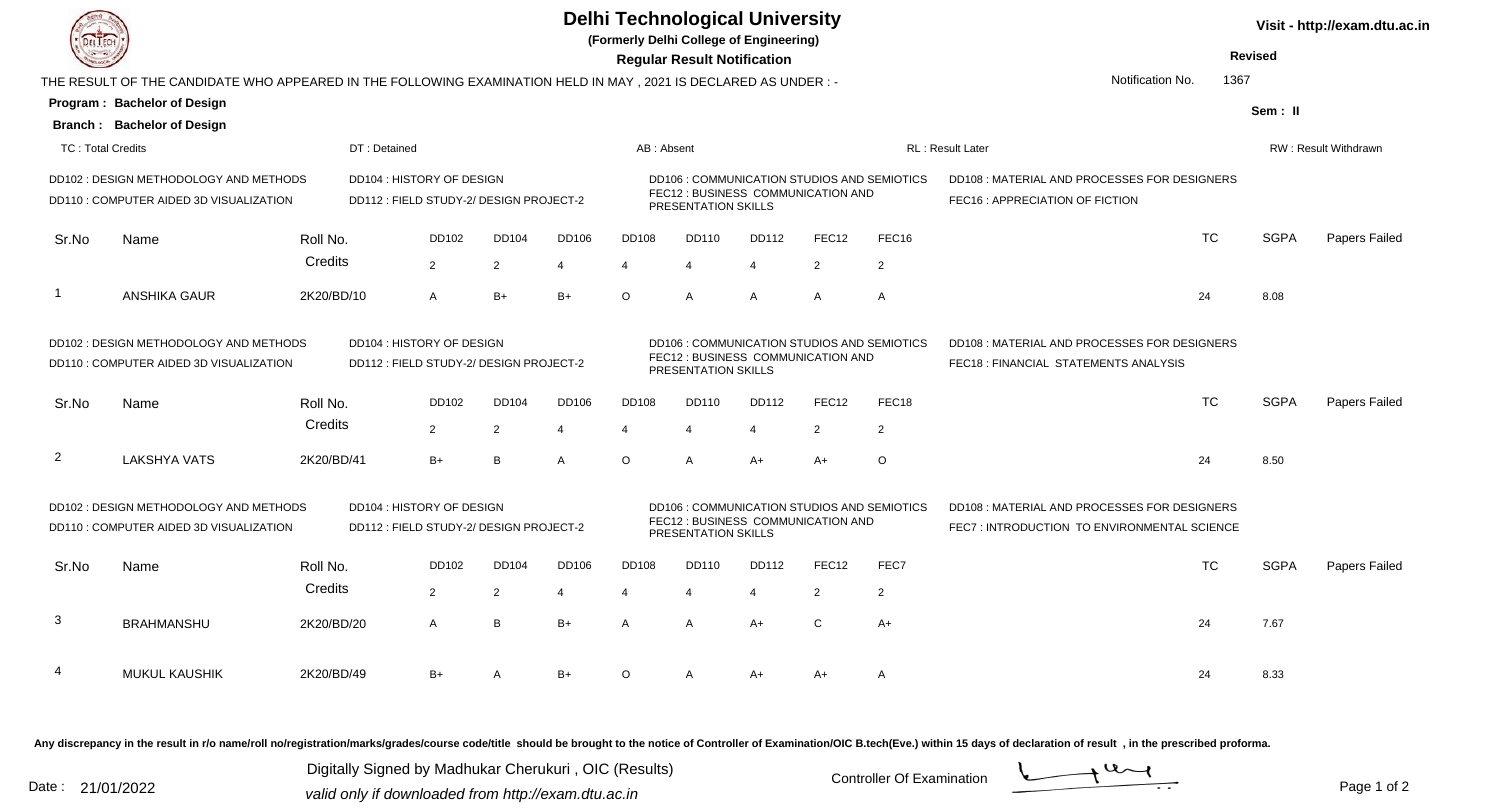| <b>DELTECH</b>                                                                                                                                            |                                                                                   |                                                                     | <b>Delhi Technological University</b><br>(Formerly Delhi College of Engineering)<br><b>Regular Result Notification</b><br>THE RESULT OF THE CANDIDATE WHO APPEARED IN THE FOLLOWING EXAMINATION HELD IN MAY, 2021 IS DECLARED AS UNDER:- |              |                                                                                                                 |                |                                                                                                                 |                       |                                                                                      |                         |                                                                                            |           |             | Visit - http://exam.dtu.ac.in<br><b>Revised</b><br>1367 |  |  |
|-----------------------------------------------------------------------------------------------------------------------------------------------------------|-----------------------------------------------------------------------------------|---------------------------------------------------------------------|------------------------------------------------------------------------------------------------------------------------------------------------------------------------------------------------------------------------------------------|--------------|-----------------------------------------------------------------------------------------------------------------|----------------|-----------------------------------------------------------------------------------------------------------------|-----------------------|--------------------------------------------------------------------------------------|-------------------------|--------------------------------------------------------------------------------------------|-----------|-------------|---------------------------------------------------------|--|--|
|                                                                                                                                                           | Program: Bachelor of Design                                                       |                                                                     |                                                                                                                                                                                                                                          |              |                                                                                                                 |                |                                                                                                                 |                       |                                                                                      |                         | Notification No.                                                                           |           |             |                                                         |  |  |
|                                                                                                                                                           | <b>Branch: Bachelor of Design</b>                                                 |                                                                     |                                                                                                                                                                                                                                          |              |                                                                                                                 |                |                                                                                                                 |                       |                                                                                      |                         |                                                                                            |           | Sem: II     |                                                         |  |  |
| <b>TC: Total Credits</b><br>DT: Detained                                                                                                                  |                                                                                   |                                                                     |                                                                                                                                                                                                                                          |              | AB: Absent                                                                                                      |                |                                                                                                                 |                       |                                                                                      | <b>RL: Result Later</b> | RW: Result Withdrawn                                                                       |           |             |                                                         |  |  |
| DD102 : DESIGN METHODOLOGY AND METHODS<br>DD110 : COMPUTER AIDED 3D VISUALIZATION                                                                         |                                                                                   | DD104 : HISTORY OF DESIGN<br>DD112: FIELD STUDY-2/ DESIGN PROJECT-2 |                                                                                                                                                                                                                                          |              |                                                                                                                 |                | <b>DD106 : COMMUNICATION STUDIOS AND SEMIOTICS</b><br>FEC12 : BUSINESS COMMUNICATION AND<br>PRESENTATION SKILLS |                       |                                                                                      |                         | DD108 : MATERIAL AND PROCESSES FOR DESIGNERS<br>FEC16 : APPRECIATION OF FICTION            |           |             |                                                         |  |  |
| Sr.No                                                                                                                                                     | Name                                                                              | Roll No.                                                            | DD102                                                                                                                                                                                                                                    | DD104        | DD106                                                                                                           | DD108          | DD110                                                                                                           | DD112                 | FEC <sub>12</sub>                                                                    | FEC16                   |                                                                                            | <b>TC</b> | <b>SGPA</b> | Papers Failed                                           |  |  |
|                                                                                                                                                           |                                                                                   | Credits                                                             | $\overline{2}$                                                                                                                                                                                                                           | 2            | $\overline{4}$                                                                                                  | 4              | 4                                                                                                               | $\boldsymbol{\Delta}$ | $\overline{2}$                                                                       | $\overline{2}$          |                                                                                            |           |             |                                                         |  |  |
|                                                                                                                                                           | <b>ANSHIKA GAUR</b>                                                               | 2K20/BD/10                                                          | $\overline{A}$                                                                                                                                                                                                                           | $B+$         | $B+$                                                                                                            | $\Omega$       | A                                                                                                               | A                     | A                                                                                    | A                       | 24                                                                                         |           | 8.08        |                                                         |  |  |
|                                                                                                                                                           | DD102 : DESIGN METHODOLOGY AND METHODS<br>DD110 : COMPUTER AIDED 3D VISUALIZATION |                                                                     | DD104 : HISTORY OF DESIGN<br>DD112: FIELD STUDY-2/ DESIGN PROJECT-2                                                                                                                                                                      |              | <b>DD106 : COMMUNICATION STUDIOS AND SEMIOTICS</b><br>FEC12 : BUSINESS COMMUNICATION AND<br>PRESENTATION SKILLS |                |                                                                                                                 |                       | DD108 : MATERIAL AND PROCESSES FOR DESIGNERS<br>FEC18: FINANCIAL STATEMENTS ANALYSIS |                         |                                                                                            |           |             |                                                         |  |  |
| Sr.No                                                                                                                                                     | Name                                                                              | Roll No.                                                            | DD102                                                                                                                                                                                                                                    | <b>DD104</b> | DD106                                                                                                           | <b>DD108</b>   | <b>DD110</b>                                                                                                    | DD112                 | FEC <sub>12</sub>                                                                    | FEC18                   |                                                                                            | <b>TC</b> | <b>SGPA</b> | Papers Failed                                           |  |  |
|                                                                                                                                                           |                                                                                   | Credits                                                             | 2                                                                                                                                                                                                                                        | 2            | $\overline{4}$                                                                                                  | $\overline{4}$ | $\overline{4}$                                                                                                  | $\overline{4}$        | 2                                                                                    | $\overline{2}$          |                                                                                            |           |             |                                                         |  |  |
| $\overline{2}$                                                                                                                                            | <b>LAKSHYA VATS</b>                                                               | 2K20/BD/41                                                          | $B+$                                                                                                                                                                                                                                     | B            | $\overline{A}$                                                                                                  | $\circ$        | A                                                                                                               | $A+$                  | $A+$                                                                                 | $\circ$                 | 24                                                                                         |           | 8.50        |                                                         |  |  |
| DD102 : DESIGN METHODOLOGY AND METHODS<br>DD104 : HISTORY OF DESIGN<br>DD110 : COMPUTER AIDED 3D VISUALIZATION<br>DD112 : FIELD STUDY-2/ DESIGN PROJECT-2 |                                                                                   |                                                                     |                                                                                                                                                                                                                                          |              |                                                                                                                 |                | <b>DD106 : COMMUNICATION STUDIOS AND SEMIOTICS</b><br>FEC12 : BUSINESS COMMUNICATION AND<br>PRESENTATION SKILLS |                       |                                                                                      |                         | DD108: MATERIAL AND PROCESSES FOR DESIGNERS<br>FEC7: INTRODUCTION TO ENVIRONMENTAL SCIENCE |           |             |                                                         |  |  |
| Sr.No                                                                                                                                                     | Name                                                                              | Roll No.                                                            | <b>DD102</b>                                                                                                                                                                                                                             | <b>DD104</b> | DD106                                                                                                           | <b>DD108</b>   | DD110                                                                                                           | DD112                 | FEC <sub>12</sub>                                                                    | FEC7                    |                                                                                            | <b>TC</b> | <b>SGPA</b> | Papers Failed                                           |  |  |
|                                                                                                                                                           |                                                                                   | Credits                                                             | 2                                                                                                                                                                                                                                        | 2            | $\overline{4}$                                                                                                  | 4              | 4                                                                                                               | 4                     | 2                                                                                    | 2                       |                                                                                            |           |             |                                                         |  |  |
| 3                                                                                                                                                         | <b>BRAHMANSHU</b>                                                                 | 2K20/BD/20                                                          | A                                                                                                                                                                                                                                        | B            | $B+$                                                                                                            | A              | A                                                                                                               | A+                    | $\mathsf{C}$                                                                         | $A+$                    | 24                                                                                         |           | 7.67        |                                                         |  |  |
|                                                                                                                                                           | <b>MUKUL KAUSHIK</b>                                                              | 2K20/BD/49                                                          | B+                                                                                                                                                                                                                                       | A            | $B+$                                                                                                            | $\circ$        | А                                                                                                               | $A+$                  | $A+$                                                                                 | A                       | 24                                                                                         |           | 8.33        |                                                         |  |  |

Any discrepancy in the result in r/o name/roll no/registration/marks/grades/course code/title should be brought to the notice of Controller of Examination/OIC B.tech(Eve.) within 15 days of declaration of result ,in the p

Digitally Signed by Madhukar Cherukuri, OIC (Results)<br>Date : 21/01/2022 valid only if downloaded from http://oxam.dtu.ac.in Digitally Signed by Madhukar Cherukuri , OIC (Results)valid only if downloaded from http://exam.dtu.ac.in